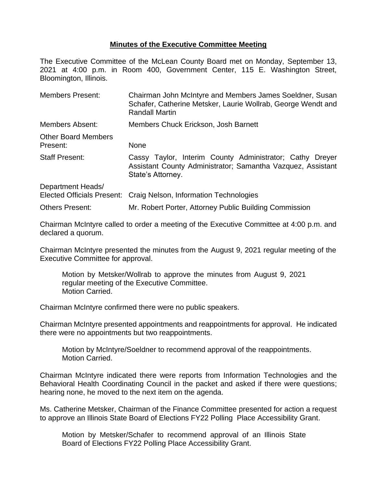## **Minutes of the Executive Committee Meeting**

The Executive Committee of the McLean County Board met on Monday, September 13, 2021 at 4:00 p.m. in Room 400, Government Center, 115 E. Washington Street, Bloomington, Illinois.

| <b>Members Present:</b>                                | Chairman John McIntyre and Members James Soeldner, Susan<br>Schafer, Catherine Metsker, Laurie Wollrab, George Wendt and<br><b>Randall Martin</b> |  |
|--------------------------------------------------------|---------------------------------------------------------------------------------------------------------------------------------------------------|--|
| <b>Members Absent:</b>                                 | Members Chuck Erickson, Josh Barnett                                                                                                              |  |
| <b>Other Board Members</b><br>Present:                 | None                                                                                                                                              |  |
| <b>Staff Present:</b>                                  | Cassy Taylor, Interim County Administrator; Cathy Dreyer<br>Assistant County Administrator; Samantha Vazquez, Assistant<br>State's Attorney.      |  |
| Department Heads/<br><b>Elected Officials Present:</b> | Craig Nelson, Information Technologies                                                                                                            |  |
| <b>Others Present:</b>                                 | Mr. Robert Porter, Attorney Public Building Commission                                                                                            |  |

Chairman McIntyre called to order a meeting of the Executive Committee at 4:00 p.m. and declared a quorum.

Chairman McIntyre presented the minutes from the August 9, 2021 regular meeting of the Executive Committee for approval.

Motion by Metsker/Wollrab to approve the minutes from August 9, 2021 regular meeting of the Executive Committee. Motion Carried.

Chairman McIntyre confirmed there were no public speakers.

Chairman McIntyre presented appointments and reappointments for approval. He indicated there were no appointments but two reappointments.

Motion by McIntyre/Soeldner to recommend approval of the reappointments. Motion Carried.

Chairman McIntyre indicated there were reports from Information Technologies and the Behavioral Health Coordinating Council in the packet and asked if there were questions; hearing none, he moved to the next item on the agenda.

Ms. Catherine Metsker, Chairman of the Finance Committee presented for action a request to approve an Illinois State Board of Elections FY22 Polling Place Accessibility Grant.

Motion by Metsker/Schafer to recommend approval of an Illinois State Board of Elections FY22 Polling Place Accessibility Grant.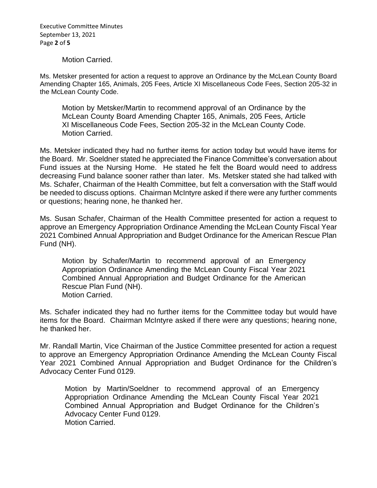Executive Committee Minutes September 13, 2021 Page **2** of **5**

Motion Carried.

Ms. Metsker presented for action a request to approve an Ordinance by the McLean County Board Amending Chapter 165, Animals, 205 Fees, Article XI Miscellaneous Code Fees, Section 205-32 in the McLean County Code.

Motion by Metsker/Martin to recommend approval of an Ordinance by the McLean County Board Amending Chapter 165, Animals, 205 Fees, Article XI Miscellaneous Code Fees, Section 205-32 in the McLean County Code. Motion Carried.

Ms. Metsker indicated they had no further items for action today but would have items for the Board. Mr. Soeldner stated he appreciated the Finance Committee's conversation about Fund issues at the Nursing Home. He stated he felt the Board would need to address decreasing Fund balance sooner rather than later. Ms. Metsker stated she had talked with Ms. Schafer, Chairman of the Health Committee, but felt a conversation with the Staff would be needed to discuss options. Chairman McIntyre asked if there were any further comments or questions; hearing none, he thanked her.

Ms. Susan Schafer, Chairman of the Health Committee presented for action a request to approve an Emergency Appropriation Ordinance Amending the McLean County Fiscal Year 2021 Combined Annual Appropriation and Budget Ordinance for the American Rescue Plan Fund (NH).

Motion by Schafer/Martin to recommend approval of an Emergency Appropriation Ordinance Amending the McLean County Fiscal Year 2021 Combined Annual Appropriation and Budget Ordinance for the American Rescue Plan Fund (NH). Motion Carried.

Ms. Schafer indicated they had no further items for the Committee today but would have items for the Board. Chairman McIntyre asked if there were any questions; hearing none, he thanked her.

Mr. Randall Martin, Vice Chairman of the Justice Committee presented for action a request to approve an Emergency Appropriation Ordinance Amending the McLean County Fiscal Year 2021 Combined Annual Appropriation and Budget Ordinance for the Children's Advocacy Center Fund 0129.

Motion by Martin/Soeldner to recommend approval of an Emergency Appropriation Ordinance Amending the McLean County Fiscal Year 2021 Combined Annual Appropriation and Budget Ordinance for the Children's Advocacy Center Fund 0129. Motion Carried.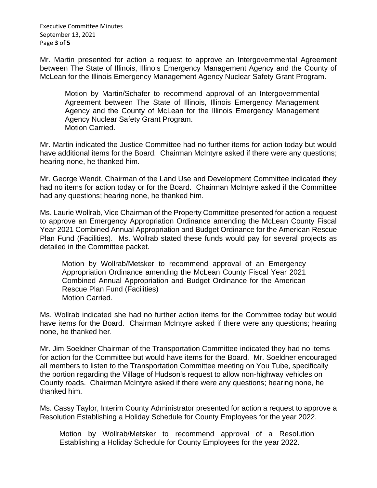Executive Committee Minutes September 13, 2021 Page **3** of **5**

Mr. Martin presented for action a request to approve an Intergovernmental Agreement between The State of Illinois, Illinois Emergency Management Agency and the County of McLean for the Illinois Emergency Management Agency Nuclear Safety Grant Program.

Motion by Martin/Schafer to recommend approval of an Intergovernmental Agreement between The State of Illinois, Illinois Emergency Management Agency and the County of McLean for the Illinois Emergency Management Agency Nuclear Safety Grant Program. Motion Carried.

Mr. Martin indicated the Justice Committee had no further items for action today but would have additional items for the Board. Chairman McIntyre asked if there were any questions; hearing none, he thanked him.

Mr. George Wendt, Chairman of the Land Use and Development Committee indicated they had no items for action today or for the Board. Chairman McIntyre asked if the Committee had any questions; hearing none, he thanked him.

Ms. Laurie Wollrab, Vice Chairman of the Property Committee presented for action a request to approve an Emergency Appropriation Ordinance amending the McLean County Fiscal Year 2021 Combined Annual Appropriation and Budget Ordinance for the American Rescue Plan Fund (Facilities). Ms. Wollrab stated these funds would pay for several projects as detailed in the Committee packet.

Motion by Wollrab/Metsker to recommend approval of an Emergency Appropriation Ordinance amending the McLean County Fiscal Year 2021 Combined Annual Appropriation and Budget Ordinance for the American Rescue Plan Fund (Facilities) Motion Carried.

Ms. Wollrab indicated she had no further action items for the Committee today but would have items for the Board. Chairman McIntyre asked if there were any questions; hearing none, he thanked her.

Mr. Jim Soeldner Chairman of the Transportation Committee indicated they had no items for action for the Committee but would have items for the Board. Mr. Soeldner encouraged all members to listen to the Transportation Committee meeting on You Tube, specifically the portion regarding the Village of Hudson's request to allow non-highway vehicles on County roads. Chairman McIntyre asked if there were any questions; hearing none, he thanked him.

Ms. Cassy Taylor, Interim County Administrator presented for action a request to approve a Resolution Establishing a Holiday Schedule for County Employees for the year 2022.

Motion by Wollrab/Metsker to recommend approval of a Resolution Establishing a Holiday Schedule for County Employees for the year 2022.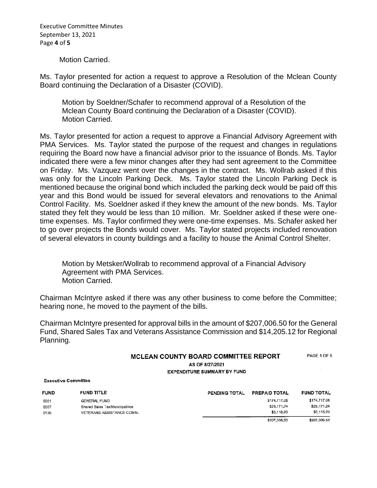Executive Committee Minutes September 13, 2021 Page **4** of **5**

Motion Carried.

Ms. Taylor presented for action a request to approve a Resolution of the Mclean County Board continuing the Declaration of a Disaster (COVID).

Motion by Soeldner/Schafer to recommend approval of a Resolution of the Mclean County Board continuing the Declaration of a Disaster (COVID). Motion Carried.

Ms. Taylor presented for action a request to approve a Financial Advisory Agreement with PMA Services. Ms. Taylor stated the purpose of the request and changes in regulations requiring the Board now have a financial advisor prior to the issuance of Bonds. Ms. Taylor indicated there were a few minor changes after they had sent agreement to the Committee on Friday. Ms. Vazquez went over the changes in the contract. Ms. Wollrab asked if this was only for the Lincoln Parking Deck. Ms. Taylor stated the Lincoln Parking Deck is mentioned because the original bond which included the parking deck would be paid off this year and this Bond would be issued for several elevators and renovations to the Animal Control Facility. Ms. Soeldner asked if they knew the amount of the new bonds. Ms. Taylor stated they felt they would be less than 10 million. Mr. Soeldner asked if these were onetime expenses. Ms. Taylor confirmed they were one-time expenses. Ms. Schafer asked her to go over projects the Bonds would cover. Ms. Taylor stated projects included renovation of several elevators in county buildings and a facility to house the Animal Control Shelter.

Motion by Metsker/Wollrab to recommend approval of a Financial Advisory Agreement with PMA Services. Motion Carried.

Chairman McIntyre asked if there was any other business to come before the Committee; hearing none, he moved to the payment of the bills.

Chairman McIntyre presented for approval bills in the amount of \$207,006.50 for the General Fund, Shared Sales Tax and Veterans Assistance Commission and \$14,205.12 for Regional Planning.

## PAGE 1 OF 5 MCLEAN COUNTY BOARD COMMITTEE REPORT AS OF 8/27/2021

**EXPENDITURE SUMMARY BY FUND** 

**Executive Committee** 

| <b>FUND</b> | <b>FUND TITLE</b>               | PENDING TOTAL | <b>PREPAID TOTAL</b> | <b>FUND TOTAL</b> |
|-------------|---------------------------------|---------------|----------------------|-------------------|
| 0001        | <b>GENERAL FUND</b>             |               | \$174,717.06         | \$174.717.06      |
| 0007        | Shared Sales Tax/Municipalities |               | \$29,171.24          | \$29,171.24       |
| 0136        | VETERANS ASSISTANCE COMM.       |               | \$3,118,20           | \$3,118,20        |
|             |                                 |               | \$207,006.50         | \$207.006.50      |